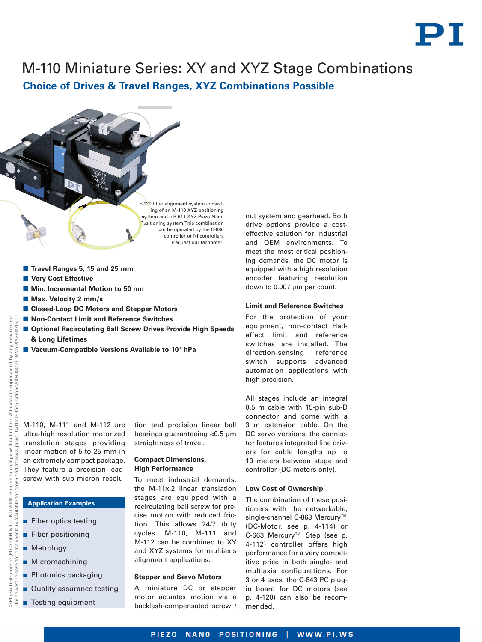

# M-110 Miniature Series: XY and XYZ Stage Combinations **Choice of Drives & Travel Ranges, XYZ Combinations Possible**

F-130 fiber alignment system consisting of an M-110 XYZ positioning system and a P-611 XYZ Piezo-Nano Positioning system.This combination can be operated by the C-880 controller or NI controllers (request our technote!)

- Travel Ranges 5, 15 and 25 mm
- **Now Cost Effective**
- $\blacksquare$  **Min. Incremental Motion to 50 nm**
- **Max. Velocity 2 mm/s**
- -**Closed-Loop DC Motors and Stepper Motors**
- Non-Contact Limit and Reference Switches
- **E** Optional Recirculating Ball Screw Drives Provide High Speeds **& Long Lifetimes**
- Vacuum-Compatible Versions Available to 10<sup>6</sup> hPa

M-110, M-111 and M-112 are ultra-high resolution motorized translation stages providing linear motion of 5 to 25 mm in an extremely compact package. They feature a precision leadscrew with sub-micron resolu-

## **Application Examples**

- **Fiber optics testing**
- **Fiber positioning**
- **Metrology**
- Micromachining
- **Photonics packaging**
- **Quality assurance testing**
- **Testing equipment**

tion and precision linear ball bearings guaranteeing <0.5 µm straightness of travel.

## **Compact Dimensions, High Performance**

To meet industrial demands, the M-11x.2 linear translation stages are equipped with a recirculating ball screw for precise motion with reduced friction. This allows 24/7 duty cycles. M-110, M-111 and M-112 can be combined to XY and XYZ systems for multiaxis alignment applications.

#### **Stepper and Servo Motors**

A miniature DC or stepper motor actuates motion via a backlash-compensated screw /

nut system and gearhead. Both drive options provide a costeffective solution for industrial and OEM environments. To meet the most critical positioning demands, the DC motor is equipped with a high resolution encoder featuring resolution down to 0.007 µm per count.

#### **Limit and Reference Switches**

For the protection of your equipment, non-contact Halleffect limit and reference switches are installed. The direction-sensing reference switch supports advanced automation applications with high precision.

All stages include an integral 0.5 m cable with 15-pin sub-D connector and come with a 3 m extension cable. On the DC servo versions, the connector features integrated line drivers for cable lengths up to 10 meters between stage and controller (DC-motors only).

### **Low Cost of Ownership**

The combination of these positioners with the networkable, single-channel C-863 Mercury™ (DC-Motor, see p. 4-114) or C-663 Mercury™ Step (see p. 4-112) controller offers high performance for a very competitive price in both single- and multiaxis configurations. For 3 or 4 axes, the C-843 PC plugin board for DC motors (see p. 4-120) can also be recommended.

The newest release for data sheets is available for download at [www.pi.ws.](http://www.pi.ws) Cat120E Inspirations2009 08/10.18

for data

release

VorXYZ/02/16/11